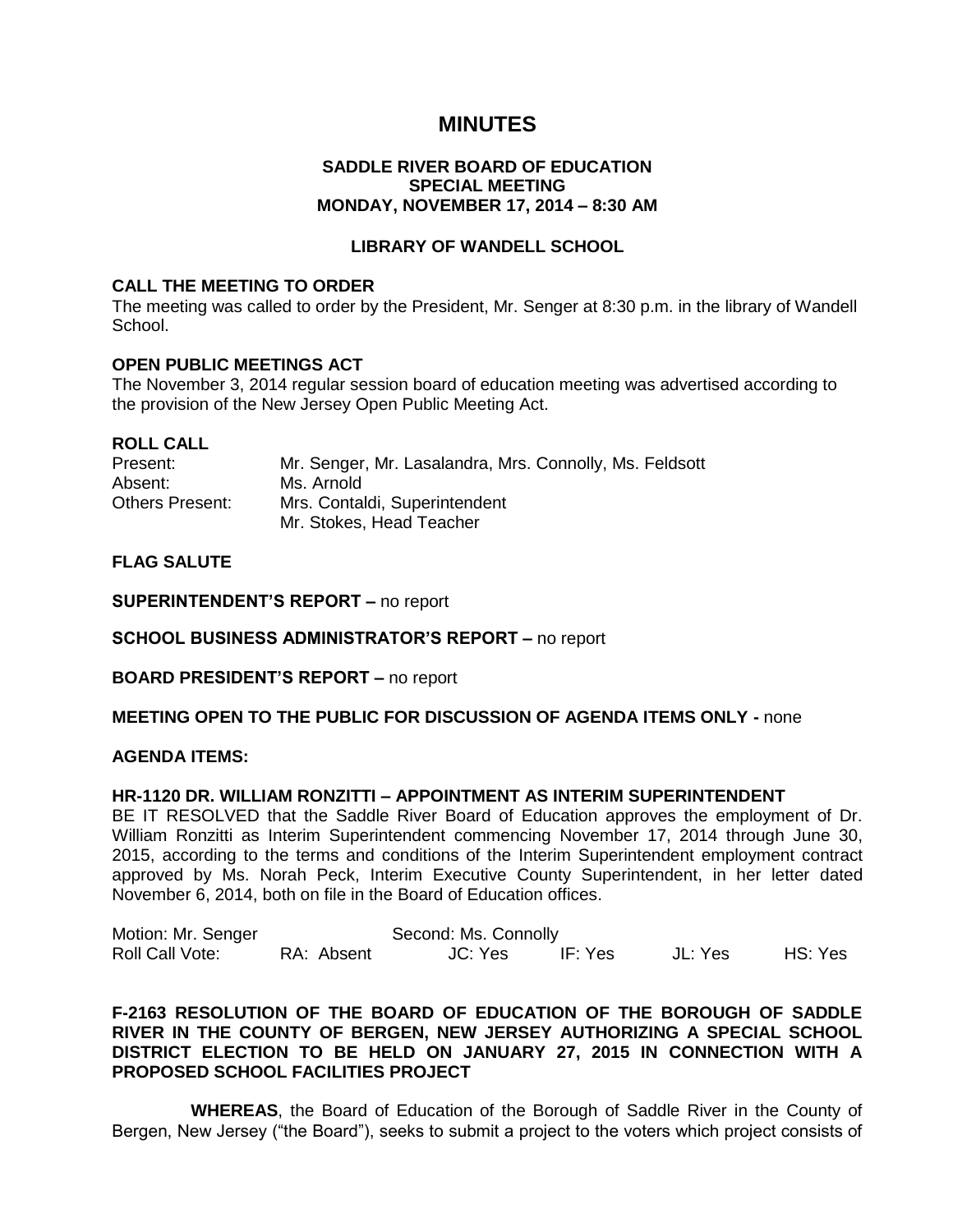# **MINUTES**

# **SADDLE RIVER BOARD OF EDUCATION SPECIAL MEETING MONDAY, NOVEMBER 17, 2014 – 8:30 AM**

# **LIBRARY OF WANDELL SCHOOL**

### **CALL THE MEETING TO ORDER**

The meeting was called to order by the President, Mr. Senger at 8:30 p.m. in the library of Wandell School.

#### **OPEN PUBLIC MEETINGS ACT**

The November 3, 2014 regular session board of education meeting was advertised according to the provision of the New Jersey Open Public Meeting Act.

#### **ROLL CALL**

| Present:               | Mr. Senger, Mr. Lasalandra, Mrs. Connolly, Ms. Feldsott |
|------------------------|---------------------------------------------------------|
| Absent:                | Ms. Arnold                                              |
| <b>Others Present:</b> | Mrs. Contaldi, Superintendent                           |
|                        | Mr. Stokes, Head Teacher                                |

# **FLAG SALUTE**

**SUPERINTENDENT'S REPORT –** no report

**SCHOOL BUSINESS ADMINISTRATOR'S REPORT –** no report

**BOARD PRESIDENT'S REPORT –** no report

#### **MEETING OPEN TO THE PUBLIC FOR DISCUSSION OF AGENDA ITEMS ONLY -** none

#### **AGENDA ITEMS:**

#### **HR-1120 DR. WILLIAM RONZITTI – APPOINTMENT AS INTERIM SUPERINTENDENT**

BE IT RESOLVED that the Saddle River Board of Education approves the employment of Dr. William Ronzitti as Interim Superintendent commencing November 17, 2014 through June 30, 2015, according to the terms and conditions of the Interim Superintendent employment contract approved by Ms. Norah Peck, Interim Executive County Superintendent, in her letter dated November 6, 2014, both on file in the Board of Education offices.

| Motion: Mr. Senger | Second: Ms. Connolly |         |         |         |         |
|--------------------|----------------------|---------|---------|---------|---------|
| Roll Call Vote:    | RA: Absent           | JC: Yes | IF: Yes | JL: Yes | HS: Yes |

# **F-2163 RESOLUTION OF THE BOARD OF EDUCATION OF THE BOROUGH OF SADDLE RIVER IN THE COUNTY OF BERGEN, NEW JERSEY AUTHORIZING A SPECIAL SCHOOL DISTRICT ELECTION TO BE HELD ON JANUARY 27, 2015 IN CONNECTION WITH A PROPOSED SCHOOL FACILITIES PROJECT**

 **WHEREAS**, the Board of Education of the Borough of Saddle River in the County of Bergen, New Jersey ("the Board"), seeks to submit a project to the voters which project consists of